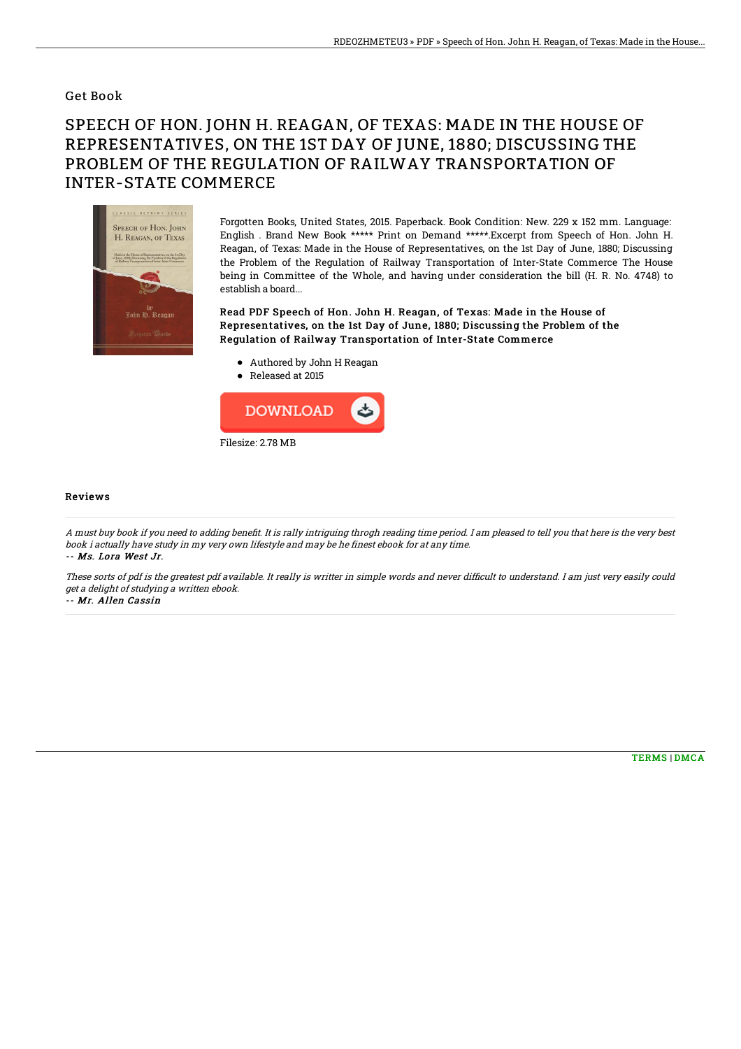## Get Book

## SPEECH OF HON. JOHN H. REAGAN, OF TEXAS: MADE IN THE HOUSE OF REPRESENTATIVES, ON THE 1ST DAY OF JUNE, 1880; DISCUSSING THE PROBLEM OF THE REGULATION OF RAILWAY TRANSPORTATION OF INTER-STATE COMMERCE



Forgotten Books, United States, 2015. Paperback. Book Condition: New. 229 x 152 mm. Language: English . Brand New Book \*\*\*\*\* Print on Demand \*\*\*\*\*.Excerpt from Speech of Hon. John H. Reagan, of Texas: Made in the House of Representatives, on the 1st Day of June, 1880; Discussing the Problem of the Regulation of Railway Transportation of Inter-State Commerce The House being in Committee of the Whole, and having under consideration the bill (H. R. No. 4748) to establish a board...

Read PDF Speech of Hon. John H. Reagan, of Texas: Made in the House of Representatives, on the 1st Day of June, 1880; Discussing the Problem of the Regulation of Railway Transportation of Inter-State Commerce

- Authored by John H Reagan
- Released at 2015



## Reviews

A must buy book if you need to adding benefit. It is rally intriguing throgh reading time period. I am pleased to tell you that here is the very best book i actually have study in my very own lifestyle and may be he finest ebook for at any time. -- Ms. Lora West Jr.

These sorts of pdf is the greatest pdf available. It really is writter in simple words and never difficult to understand. I am just very easily could get <sup>a</sup> delight of studying <sup>a</sup> written ebook.

-- Mr. Allen Cassin